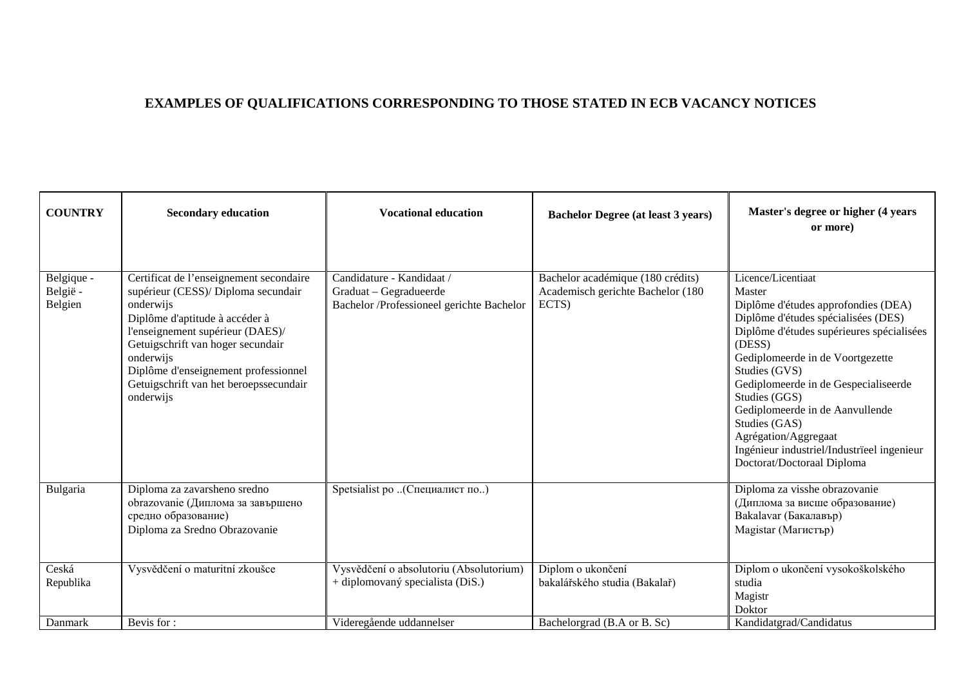## **EXAMPLES OF QUALIFICATIONS CORRESPONDING TO THOSE STATED IN ECB VACANCY NOTICES**

| <b>COUNTRY</b>                    | <b>Secondary education</b>                                                                                                                                                                                                                                                                                         | <b>Vocational education</b>                                                                      | <b>Bachelor Degree (at least 3 years)</b>                                       | Master's degree or higher (4 years<br>or more)                                                                                                                                                                                                                                                                                                                                                                                          |
|-----------------------------------|--------------------------------------------------------------------------------------------------------------------------------------------------------------------------------------------------------------------------------------------------------------------------------------------------------------------|--------------------------------------------------------------------------------------------------|---------------------------------------------------------------------------------|-----------------------------------------------------------------------------------------------------------------------------------------------------------------------------------------------------------------------------------------------------------------------------------------------------------------------------------------------------------------------------------------------------------------------------------------|
| Belgique -<br>België -<br>Belgien | Certificat de l'enseignement secondaire<br>supérieur (CESS)/ Diploma secundair<br>onderwijs<br>Diplôme d'aptitude à accéder à<br>l'enseignement supérieur (DAES)/<br>Getuigschrift van hoger secundair<br>onderwijs<br>Diplôme d'enseignement professionnel<br>Getuigschrift van het beroepssecundair<br>onderwijs | Candidature - Kandidaat /<br>Graduat - Gegradueerde<br>Bachelor /Professioneel gerichte Bachelor | Bachelor académique (180 crédits)<br>Academisch gerichte Bachelor (180<br>ECTS) | Licence/Licentiaat<br>Master<br>Diplôme d'études approfondies (DEA)<br>Diplôme d'études spécialisées (DES)<br>Diplôme d'études supérieures spécialisées<br>(DESS)<br>Gediplomeerde in de Voortgezette<br>Studies (GVS)<br>Gediplomeerde in de Gespecialiseerde<br>Studies (GGS)<br>Gediplomeerde in de Aanvullende<br>Studies (GAS)<br>Agrégation/Aggregaat<br>Ingénieur industriel/Industrieel ingenieur<br>Doctorat/Doctoraal Diploma |
| Bulgaria                          | Diploma za zavarsheno sredno<br>obrazovanie (Диплома за завършено<br>средно образование)<br>Diploma za Sredno Obrazovanie                                                                                                                                                                                          | Spetsialist ро (Специалист по)                                                                   |                                                                                 | Diploma za visshe obrazovanie<br>(Диплома за висше образование)<br>Bakalavar (Бакалавър)<br>Magistar (Магистър)                                                                                                                                                                                                                                                                                                                         |
| Ceská<br>Republika                | Vysvědčení o maturitní zkoušce                                                                                                                                                                                                                                                                                     | Vysvědčení o absolutoriu (Absolutorium)<br>+ diplomovaný specialista (DiS.)                      | Diplom o ukončení<br>bakalářského studia (Bakalař)                              | Diplom o ukončení vysokoškolského<br>studia<br>Magistr<br>Doktor                                                                                                                                                                                                                                                                                                                                                                        |
| Danmark                           | Bevis for:                                                                                                                                                                                                                                                                                                         | Videregående uddannelser                                                                         | Bachelorgrad (B.A or B. Sc)                                                     | Kandidatgrad/Candidatus                                                                                                                                                                                                                                                                                                                                                                                                                 |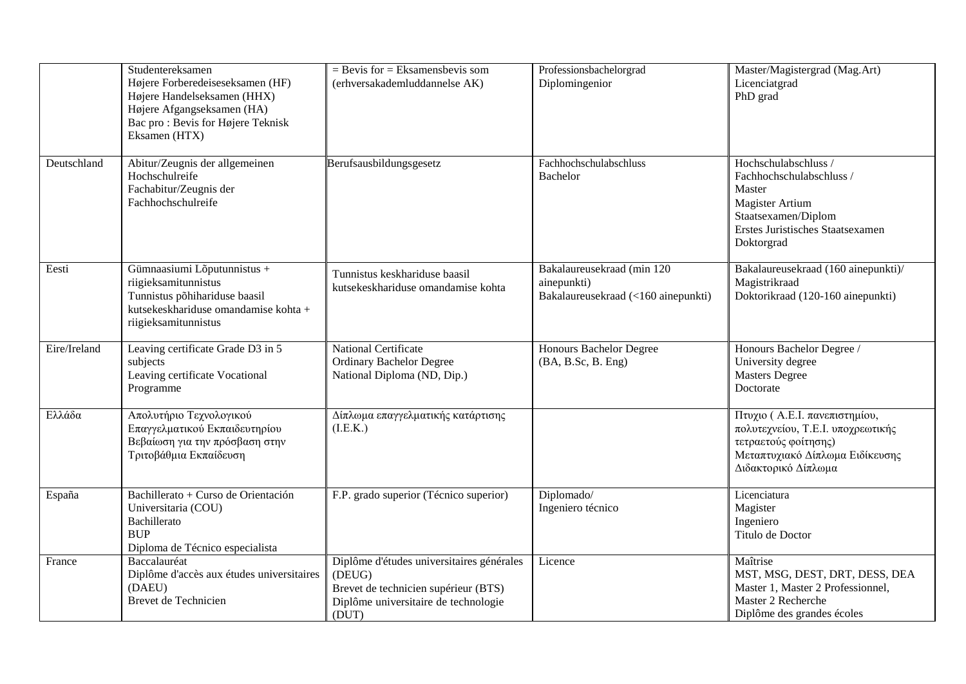|              | Studentereksamen<br>Højere Forberedeiseseksamen (HF)<br>Højere Handelseksamen (HHX)<br>Højere Afgangseksamen (HA)<br>Bac pro: Bevis for Højere Teknisk<br>Eksamen (HTX) | $=$ Bevis for $=$ Eksamensbevis som<br>(erhversakademluddannelse AK)                                                                         | Professionsbachelorgrad<br>Diplomingenior                                        | Master/Magistergrad (Mag.Art)<br>Licenciatgrad<br>PhD grad                                                                                                    |
|--------------|-------------------------------------------------------------------------------------------------------------------------------------------------------------------------|----------------------------------------------------------------------------------------------------------------------------------------------|----------------------------------------------------------------------------------|---------------------------------------------------------------------------------------------------------------------------------------------------------------|
| Deutschland  | Abitur/Zeugnis der allgemeinen<br>Hochschulreife<br>Fachabitur/Zeugnis der<br>Fachhochschulreife                                                                        | Berufsausbildungsgesetz                                                                                                                      | Fachhochschulabschluss<br><b>Bachelor</b>                                        | Hochschulabschluss /<br>Fachhochschulabschluss /<br>Master<br><b>Magister Artium</b><br>Staatsexamen/Diplom<br>Erstes Juristisches Staatsexamen<br>Doktorgrad |
| Eesti        | Gümnaasiumi Lõputunnistus +<br>riigieksamitunnistus<br>Tunnistus põhihariduse baasil<br>kutsekeskhariduse omandamise kohta +<br>riigieksamitunnistus                    | Tunnistus keskhariduse baasil<br>kutsekeskhariduse omandamise kohta                                                                          | Bakalaureusekraad (min 120<br>ainepunkti)<br>Bakalaureusekraad (<160 ainepunkti) | Bakalaureusekraad (160 ainepunkti)/<br>Magistrikraad<br>Doktorikraad (120-160 ainepunkti)                                                                     |
| Eire/Ireland | Leaving certificate Grade D3 in 5<br>subjects<br>Leaving certificate Vocational<br>Programme                                                                            | National Certificate<br><b>Ordinary Bachelor Degree</b><br>National Diploma (ND, Dip.)                                                       | Honours Bachelor Degree<br>(BA, B.Sc, B. Eng)                                    | Honours Bachelor Degree /<br>University degree<br><b>Masters Degree</b><br>Doctorate                                                                          |
| Ελλάδα       | Απολυτήριο Τεχνολογικού<br>Επαγγελματικού Εκπαιδευτηρίου<br>Βεβαίωση για την πρόσβαση στην<br>Τριτοβάθμια Εκπαίδευση                                                    | Δίπλωμα επαγγελματικής κατάρτισης<br>(I.E.K.)                                                                                                |                                                                                  | Πτυχιο (Α.Ε.Ι. πανεπιστημίου,<br>πολυτεχνείου, Τ.Ε.Ι. υποχρεωτικής<br>τετραετούς φοίτησης)<br>Μεταπτυχιακό Δίπλωμα Ειδίκευσης<br>Διδακτορικό Δίπλωμα          |
| España       | Bachillerato + Curso de Orientación<br>Universitaria (COU)<br>Bachillerato<br><b>BUP</b><br>Diploma de Técnico especialista                                             | F.P. grado superior (Técnico superior)                                                                                                       | Diplomado/<br>Ingeniero técnico                                                  | Licenciatura<br>Magister<br>Ingeniero<br>Titulo de Doctor                                                                                                     |
| France       | Baccalauréat<br>Diplôme d'accès aux études universitaires<br>(DAEU)<br>Brevet de Technicien                                                                             | Diplôme d'études universitaires générales<br>(DEUG)<br>Brevet de technicien supérieur (BTS)<br>Diplôme universitaire de technologie<br>(DUT) | Licence                                                                          | Maîtrise<br>MST, MSG, DEST, DRT, DESS, DEA<br>Master 1, Master 2 Professionnel,<br>Master 2 Recherche<br>Diplôme des grandes écoles                           |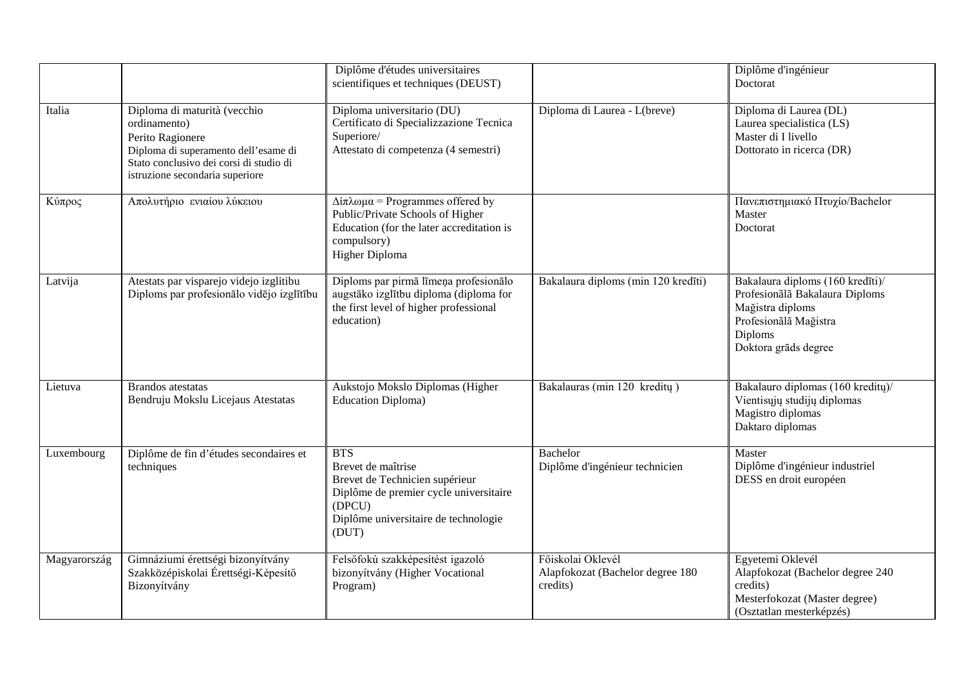|              |                                                                                                                                                                                        | Diplôme d'études universitaires<br>scientifiques et techniques (DEUST)                                                                                                        |                                                                   | Diplôme d'ingénieur<br>Doctorat                                                                                                                           |
|--------------|----------------------------------------------------------------------------------------------------------------------------------------------------------------------------------------|-------------------------------------------------------------------------------------------------------------------------------------------------------------------------------|-------------------------------------------------------------------|-----------------------------------------------------------------------------------------------------------------------------------------------------------|
| Italia       | Diploma di maturità (vecchio<br>ordinamento)<br>Perito Ragionere<br>Diploma di superamento dell'esame di<br>Stato conclusivo dei corsi di studio di<br>istruzione secondaria superiore | Diploma universitario (DU)<br>Certificato di Specializzazione Tecnica<br>Superiore/<br>Attestato di competenza (4 semestri)                                                   | Diploma di Laurea - L(breve)                                      | Diploma di Laurea (DL)<br>Laurea specialistica (LS)<br>Master di I livello<br>Dottorato in ricerca (DR)                                                   |
| Κύπρος       | Απολυτήριο ενιαίου λύκειου                                                                                                                                                             | $\Delta$ ίπλωμα = Programmes offered by<br>Public/Private Schools of Higher<br>Education (for the later accreditation is<br>compulsory)<br>Higher Diploma                     |                                                                   | Πανεπιστημιακό Πτυχίο/Bachelor<br>Master<br>Doctorat                                                                                                      |
| Latvija      | Atestats par visparejo videjo izglitibu<br>Diploms par profesionālo vidējo izglītību                                                                                                   | Diploms par pirmā līmeņa profesionālo<br>augstāko izglītbu diploma (diploma for<br>the first level of higher professional<br>education)                                       | Bakalaura diploms (min 120 kredīti)                               | Bakalaura diploms (160 kredīti)/<br>Profesionala Bakalaura Diploms<br>Mağistra diploms<br>Profesionala Mağistra<br><b>Diploms</b><br>Doktora grāds degree |
| Lietuva      | <b>Brandos</b> atestatas<br>Bendruju Mokslu Licejaus Atestatas                                                                                                                         | Aukstojo Mokslo Diplomas (Higher<br><b>Education Diploma)</b>                                                                                                                 | Bakalauras (min 120 kreditų)                                      | Bakalauro diplomas (160 kredity)/<br>Vientisųjų studijų diplomas<br>Magistro diplomas<br>Daktaro diplomas                                                 |
| Luxembourg   | Diplôme de fin d'études secondaires et<br>techniques                                                                                                                                   | $\overline{BTS}$<br>Brevet de maîtrise<br>Brevet de Technicien supérieur<br>Diplôme de premier cycle universitaire<br>(DPCU)<br>Diplôme universitaire de technologie<br>(DUT) | Bachelor<br>Diplôme d'ingénieur technicien                        | Master<br>Diplôme d'ingénieur industriel<br>DESS en droit européen                                                                                        |
| Magyarország | Gimnáziumi érettségi bizonyítvány<br>Szakközépiskolai Érettségi-Képesítő<br>Bizonyítvány                                                                                               | Felsőfokú szakképesítést igazoló<br>bizonyítvány (Higher Vocational<br>Program)                                                                                               | Főiskolai Oklevél<br>Alapfokozat (Bachelor degree 180<br>credits) | Egyetemi Oklevél<br>Alapfokozat (Bachelor degree 240<br>credits)<br>Mesterfokozat (Master degree)<br>(Osztatlan mesterképzés)                             |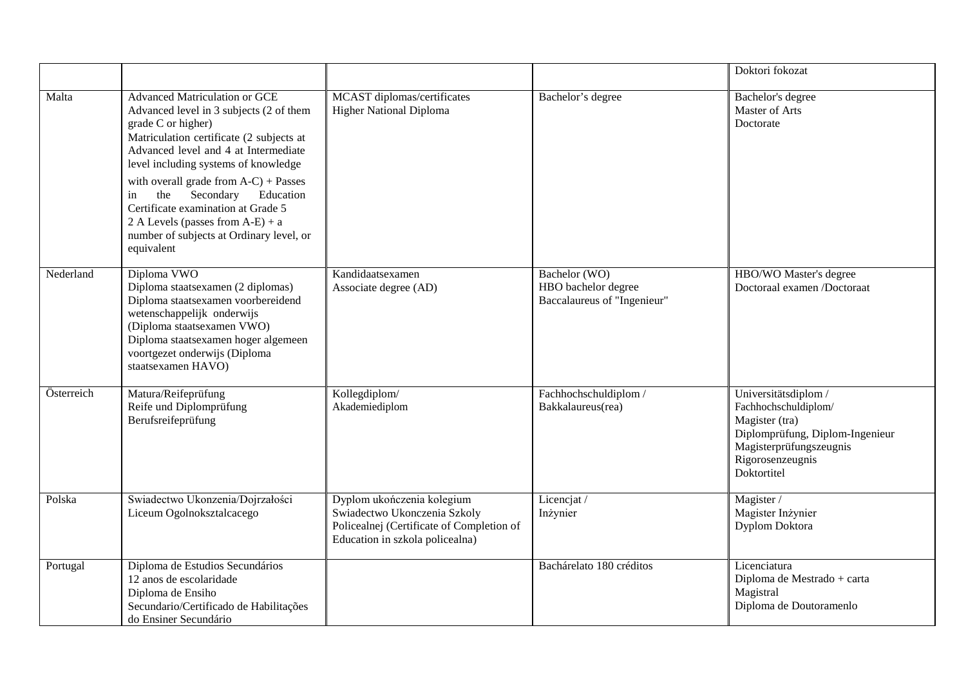|            |                                                                                                                                                                                                                                                                                                                                                                                                                                                             |                                                                                                                                            |                                                                     | Doktori fokozat                                                                                                                                                |
|------------|-------------------------------------------------------------------------------------------------------------------------------------------------------------------------------------------------------------------------------------------------------------------------------------------------------------------------------------------------------------------------------------------------------------------------------------------------------------|--------------------------------------------------------------------------------------------------------------------------------------------|---------------------------------------------------------------------|----------------------------------------------------------------------------------------------------------------------------------------------------------------|
| Malta      | <b>Advanced Matriculation or GCE</b><br>Advanced level in 3 subjects (2 of them<br>grade C or higher)<br>Matriculation certificate (2 subjects at<br>Advanced level and 4 at Intermediate<br>level including systems of knowledge<br>with overall grade from $A-C$ ) + Passes<br>the<br>Secondary<br>Education<br>in<br>Certificate examination at Grade 5<br>2 A Levels (passes from $A-E$ ) + a<br>number of subjects at Ordinary level, or<br>equivalent | MCAST diplomas/certificates<br><b>Higher National Diploma</b>                                                                              | Bachelor's degree                                                   | Bachelor's degree<br>Master of Arts<br>Doctorate                                                                                                               |
| Nederland  | Diploma VWO<br>Diploma staatsexamen (2 diplomas)<br>Diploma staatsexamen voorbereidend<br>wetenschappelijk onderwijs<br>(Diploma staatsexamen VWO)<br>Diploma staatsexamen hoger algemeen<br>voortgezet onderwijs (Diploma<br>staatsexamen HAVO)                                                                                                                                                                                                            | Kandidaatsexamen<br>Associate degree (AD)                                                                                                  | Bachelor (WO)<br>HBO bachelor degree<br>Baccalaureus of "Ingenieur" | HBO/WO Master's degree<br>Doctoraal examen /Doctoraat                                                                                                          |
| Österreich | Matura/Reifeprüfung<br>Reife und Diplomprüfung<br>Berufsreifeprüfung                                                                                                                                                                                                                                                                                                                                                                                        | Kollegdiplom/<br>Akademiediplom                                                                                                            | Fachhochschuldiplom /<br>Bakkalaureus(rea)                          | Universitätsdiplom/<br>Fachhochschuldiplom/<br>Magister (tra)<br>Diplomprüfung, Diplom-Ingenieur<br>Magisterprüfungszeugnis<br>Rigorosenzeugnis<br>Doktortitel |
| Polska     | Swiadectwo Ukonzenia/Dojrzałości<br>Liceum Ogolnoksztalcacego                                                                                                                                                                                                                                                                                                                                                                                               | Dyplom ukończenia kolegium<br>Swiadectwo Ukonczenia Szkoly<br>Policealnej (Certificate of Completion of<br>Education in szkola policealna) | Licencjat/<br>Inżynier                                              | Magister /<br>Magister Inżynier<br>Dyplom Doktora                                                                                                              |
| Portugal   | Diploma de Estudios Secundários<br>12 anos de escolaridade<br>Diploma de Ensiho<br>Secundario/Certificado de Habilitações<br>do Ensiner Secundário                                                                                                                                                                                                                                                                                                          |                                                                                                                                            | Bachárelato 180 créditos                                            | Licenciatura<br>Diploma de Mestrado + carta<br>Magistral<br>Diploma de Doutoramenlo                                                                            |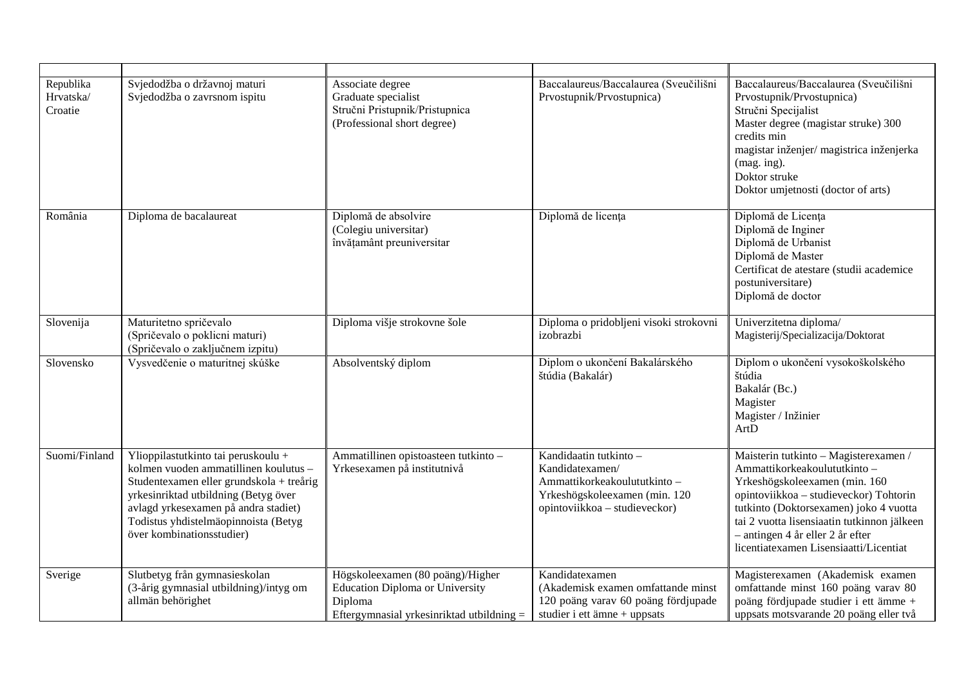| Republika<br>Hrvatska/<br>Croatie | Svjedodžba o državnoj maturi<br>Svjedodžba o zavrsnom ispitu                                                                                                                                                                                                                  | Associate degree<br>Graduate specialist<br>Stručni Pristupnik/Pristupnica<br>(Professional short degree)                           | Baccalaureus/Baccalaurea (Sveučilišni<br>Prvostupnik/Prvostupnica)                                                                          | Baccalaureus/Baccalaurea (Sveučilišni<br>Prvostupnik/Prvostupnica)<br>Stručni Specijalist<br>Master degree (magistar struke) 300<br>credits min<br>magistar inženjer/ magistrica inženjerka<br>(mag. ing).<br>Doktor struke<br>Doktor umjetnosti (doctor of arts)                                                       |
|-----------------------------------|-------------------------------------------------------------------------------------------------------------------------------------------------------------------------------------------------------------------------------------------------------------------------------|------------------------------------------------------------------------------------------------------------------------------------|---------------------------------------------------------------------------------------------------------------------------------------------|-------------------------------------------------------------------------------------------------------------------------------------------------------------------------------------------------------------------------------------------------------------------------------------------------------------------------|
| România                           | Diploma de bacalaureat                                                                                                                                                                                                                                                        | Diplomă de absolvire<br>(Colegiu universitar)<br>învățamânt preuniversitar                                                         | Diplomă de licența                                                                                                                          | Diplomă de Licența<br>Diplomă de Inginer<br>Diplomă de Urbanist<br>Diplomă de Master<br>Certificat de atestare (studii academice<br>postuniversitare)<br>Diplomă de doctor                                                                                                                                              |
| Slovenija                         | Maturitetno spričevalo<br>(Spričevalo o poklicni maturi)<br>(Spričevalo o zaključnem izpitu)                                                                                                                                                                                  | Diploma višje strokovne šole                                                                                                       | Diploma o pridobljeni visoki strokovni<br>izobrazbi                                                                                         | Univerzitetna diploma/<br>Magisterij/Specializacija/Doktorat                                                                                                                                                                                                                                                            |
| Slovensko                         | Vysvedčenie o maturitnej skúške                                                                                                                                                                                                                                               | Absolventský diplom                                                                                                                | Diplom o ukončení Bakalárského<br>štúdia (Bakalár)                                                                                          | Diplom o ukončení vysokoškolského<br>štúdia<br>Bakalár (Bc.)<br>Magister<br>Magister / Inžinier<br>ArtD                                                                                                                                                                                                                 |
| Suomi/Finland                     | Ylioppilastutkinto tai peruskoulu +<br>kolmen vuoden ammatillinen koulutus -<br>Studentexamen eller grundskola + treårig<br>yrkesinriktad utbildning (Betyg över<br>avlagd yrkesexamen på andra stadiet)<br>Todistus yhdistelmäopinnoista (Betyg<br>över kombinationsstudier) | Ammatillinen opistoasteen tutkinto -<br>Yrkesexamen på institutnivå                                                                | Kandidaatin tutkinto -<br>Kandidatexamen/<br>Ammattikorkeakoulututkinto -<br>Yrkeshögskoleexamen (min. 120<br>opintoviikkoa – studieveckor) | Maisterin tutkinto - Magisterexamen /<br>Ammattikorkeakoulututkinto -<br>Yrkeshögskoleexamen (min. 160<br>opintoviikkoa - studieveckor) Tohtorin<br>tutkinto (Doktorsexamen) joko 4 vuotta<br>tai 2 vuotta lisensiaatin tutkinnon jälkeen<br>- antingen 4 år eller 2 år efter<br>licentiatexamen Lisensiaatti/Licentiat |
| Sverige                           | Slutbetyg från gymnasieskolan<br>(3-årig gymnasial utbildning)/intyg om<br>allmän behörighet                                                                                                                                                                                  | Högskoleexamen (80 poäng)/Higher<br><b>Education Diploma or University</b><br>Diploma<br>Eftergymnasial yrkesinriktad utbildning = | Kandidatexamen<br>(Akademisk examen omfattande minst<br>120 poäng varav 60 poäng fördjupade<br>studier i ett ämne + uppsats                 | Magisterexamen (Akademisk examen<br>omfattande minst 160 poäng varav 80<br>poäng fördjupade studier i ett ämme +<br>uppsats motsvarande 20 poäng eller två                                                                                                                                                              |